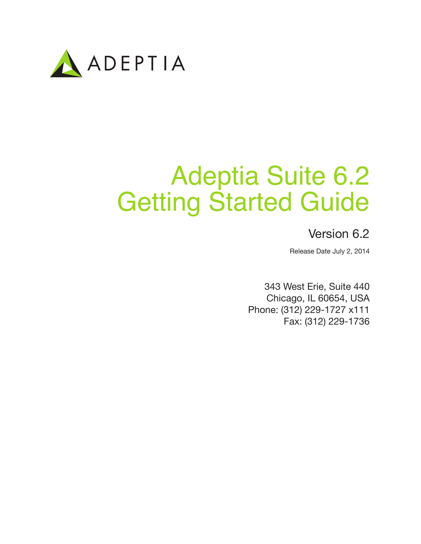

# Adeptia Suite 6.2 Getting Started Guide

## Version 6.2

Release Date July 2, 2014

343 West Erie, Suite 440 Chicago, IL 60654, USA Phone: (312) 229-1727 x111 Fax: (312) 229-1736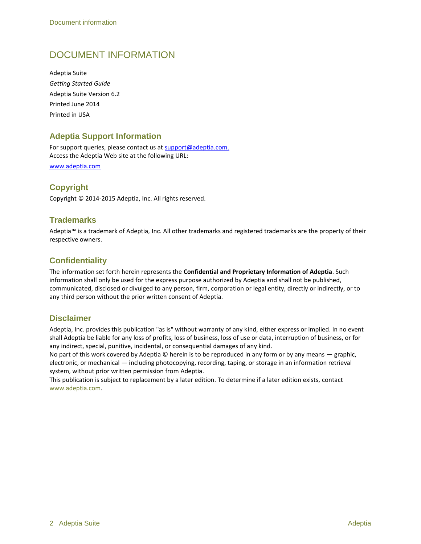## DOCUMENT INFORMATION

Adeptia Suite *Getting Started Guide* Adeptia Suite Version 6.2 Printed June 2014 Printed in USA

#### **Adeptia Support Information**

For support queries, please contact us at support@adeptia.com. Access the Adeptia Web site at the following URL:

www.adeptia.com

### **Copyright**

Copyright © 2014-2015 Adeptia, Inc. All rights reserved.

#### **Trademarks**

Adeptia™ is a trademark of Adeptia, Inc. All other trademarks and registered trademarks are the property of their respective owners.

#### **Confidentiality**

The information set forth herein represents the **Confidential and Proprietary Information of Adeptia**. Such information shall only be used for the express purpose authorized by Adeptia and shall not be published, communicated, disclosed or divulged to any person, firm, corporation or legal entity, directly or indirectly, or to any third person without the prior written consent of Adeptia.

#### **Disclaimer**

Adeptia, Inc. provides this publication "as is" without warranty of any kind, either express or implied. In no event shall Adeptia be liable for any loss of profits, loss of business, loss of use or data, interruption of business, or for any indirect, special, punitive, incidental, or consequential damages of any kind.

No part of this work covered by Adeptia © herein is to be reproduced in any form or by any means — graphic, electronic, or mechanical — including photocopying, recording, taping, or storage in an information retrieval system, without prior written permission from Adeptia.

This publication is subject to replacement by a later edition. To determine if a later edition exists, contact [www.adeptia.com.](http://www.adeptia.com/)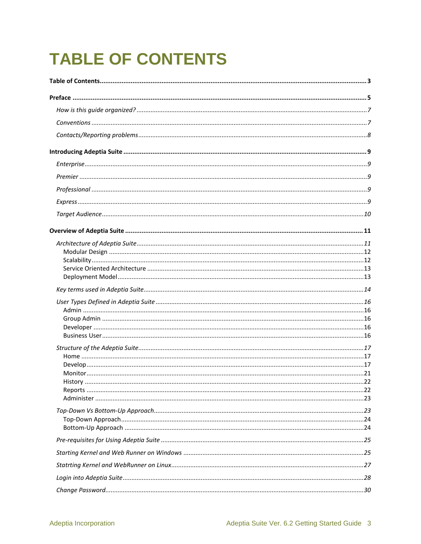## <span id="page-2-0"></span>**TABLE OF CONTENTS**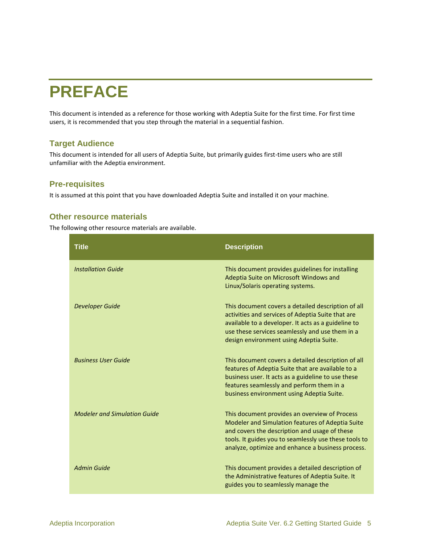## <span id="page-4-0"></span>**PREFACE**

This document is intended as a reference for those working with Adeptia Suite for the first time. For first time users, it is recommended that you step through the material in a sequential fashion.

#### **Target Audience**

This document is intended for all users of Adeptia Suite, but primarily guides first-time users who are still unfamiliar with the Adeptia environment.

#### **Pre-requisites**

It is assumed at this point that you have downloaded Adeptia Suite and installed it on your machine.

#### **Other resource materials**

The following other resource materials are available.

| <b>Title</b>                        | <b>Description</b>                                                                                                                                                                                                                                               |
|-------------------------------------|------------------------------------------------------------------------------------------------------------------------------------------------------------------------------------------------------------------------------------------------------------------|
| <b>Installation Guide</b>           | This document provides guidelines for installing<br>Adeptia Suite on Microsoft Windows and<br>Linux/Solaris operating systems.                                                                                                                                   |
| <b>Developer Guide</b>              | This document covers a detailed description of all<br>activities and services of Adeptia Suite that are<br>available to a developer. It acts as a guideline to<br>use these services seamlessly and use them in a<br>design environment using Adeptia Suite.     |
| <b>Business User Guide</b>          | This document covers a detailed description of all<br>features of Adeptia Suite that are available to a<br>business user. It acts as a guideline to use these<br>features seamlessly and perform them in a<br>business environment using Adeptia Suite.          |
| <b>Modeler and Simulation Guide</b> | This document provides an overview of Process<br>Modeler and Simulation features of Adeptia Suite<br>and covers the description and usage of these<br>tools. It guides you to seamlessly use these tools to<br>analyze, optimize and enhance a business process. |
| <b>Admin Guide</b>                  | This document provides a detailed description of<br>the Administrative features of Adeptia Suite. It<br>guides you to seamlessly manage the                                                                                                                      |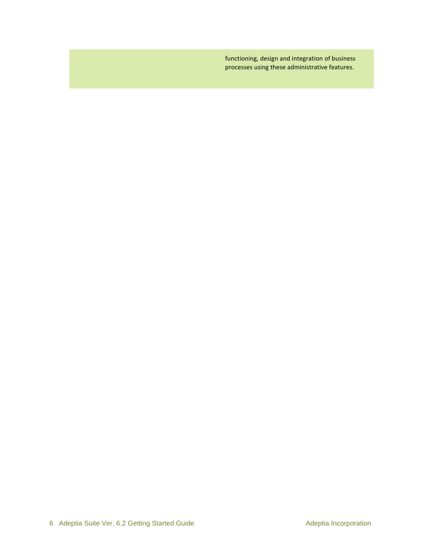functioning, design and integration of business processes using these administrative features.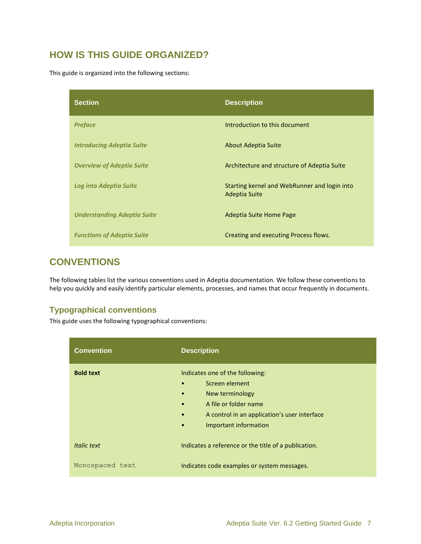## <span id="page-6-0"></span>**HOW IS THIS GUIDE ORGANIZED?**

This guide is organized into the following sections:

| <b>Section</b>                     | <b>Description</b>                                            |
|------------------------------------|---------------------------------------------------------------|
| <b>Preface</b>                     | Introduction to this document                                 |
| <b>Introducing Adeptia Suite</b>   | About Adeptia Suite                                           |
| <b>Overview of Adeptia Suite</b>   | Architecture and structure of Adeptia Suite                   |
| <b>Log into Adeptia Suite</b>      | Starting kernel and WebRunner and login into<br>Adeptia Suite |
| <b>Understanding Adeptia Suite</b> | Adeptia Suite Home Page                                       |
| <b>Functions of Adeptia Suite</b>  | Creating and executing Process flows.                         |

## <span id="page-6-1"></span>**CONVENTIONS**

The following tables list the various conventions used in Adeptia documentation. We follow these conventions to help you quickly and easily identify particular elements, processes, and names that occur frequently in documents.

#### **Typographical conventions**

This guide uses the following typographical conventions:

| <b>Convention</b> | <b>Description</b>                                                                                                                                                                                                                      |
|-------------------|-----------------------------------------------------------------------------------------------------------------------------------------------------------------------------------------------------------------------------------------|
| <b>Bold text</b>  | Indicates one of the following:<br>Screen element<br>$\bullet$<br>New terminology<br>$\bullet$<br>A file or folder name<br>$\bullet$<br>A control in an application's user interface<br>$\bullet$<br>Important information<br>$\bullet$ |
| Italic text       | Indicates a reference or the title of a publication.                                                                                                                                                                                    |
| Monospaced text   | Indicates code examples or system messages.                                                                                                                                                                                             |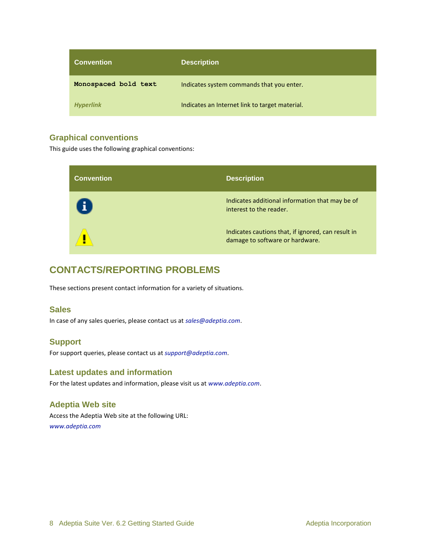| <b>Convention</b>    | <b>Description</b>                             |
|----------------------|------------------------------------------------|
| Monospaced bold text | Indicates system commands that you enter.      |
| <b>Hyperlink</b>     | Indicates an Internet link to target material. |

#### **Graphical conventions**

This guide uses the following graphical conventions:

| <b>Convention</b> | <b>Description</b>                                                                    |
|-------------------|---------------------------------------------------------------------------------------|
| Ŧ                 | Indicates additional information that may be of<br>interest to the reader.            |
|                   | Indicates cautions that, if ignored, can result in<br>damage to software or hardware. |

## <span id="page-7-0"></span>**CONTACTS/REPORTING PROBLEMS**

These sections present contact information for a variety of situations.

#### **Sales**

In case of any sales queries, please contact us at *sales@adeptia.com*.

#### **Support**

For support queries, please contact us at *support@adeptia.com*.

#### **Latest updates and information**

For the latest updates and information, please visit us at *www.adeptia.com*.

## **Adeptia Web site**

Access the Adeptia Web site at the following URL: *www.adeptia.com*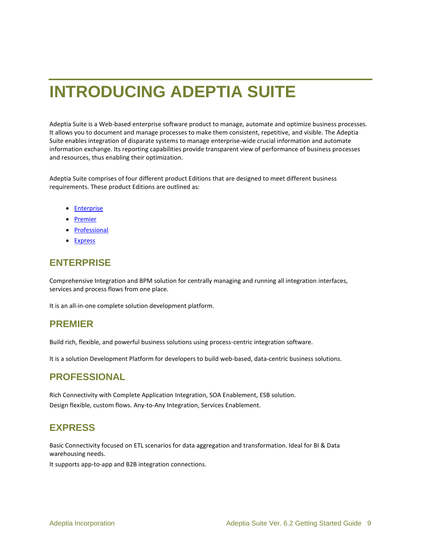## <span id="page-8-0"></span>**INTRODUCING ADEPTIA SUITE**

Adeptia Suite is a Web-based enterprise software product to manage, automate and optimize business processes. It allows you to document and manage processes to make them consistent, repetitive, and visible. The Adeptia Suite enables integration of disparate systems to manage enterprise-wide crucial information and automate information exchange. Its reporting capabilities provide transparent view of performance of business processes and resources, thus enabling their optimization.

Adeptia Suite comprises of four different product Editions that are designed to meet different business requirements. These product Editions are outlined as:

- **•** [Enterprise](#page-8-1)
- [Premier](#page-8-2)
- [Professional](#page-8-3)
- [Express](#page-8-4)

## <span id="page-8-1"></span>**ENTERPRISE**

Comprehensive Integration and BPM solution for centrally managing and running all integration interfaces, services and process flows from one place.

It is an all-in-one complete solution development platform.

### <span id="page-8-2"></span>**PREMIER**

Build rich, flexible, and powerful business solutions using process-centric integration software.

It is a solution Development Platform for developers to build web-based, data-centric business solutions.

## <span id="page-8-3"></span>**PROFESSIONAL**

Rich Connectivity with Complete Application Integration, SOA Enablement, ESB solution. Design flexible, custom flows. Any-to-Any Integration, Services Enablement.

## <span id="page-8-4"></span>**EXPRESS**

Basic Connectivity focused on ETL scenarios for data aggregation and transformation. Ideal for BI & Data warehousing needs.

It supports app-to-app and B2B integration connections.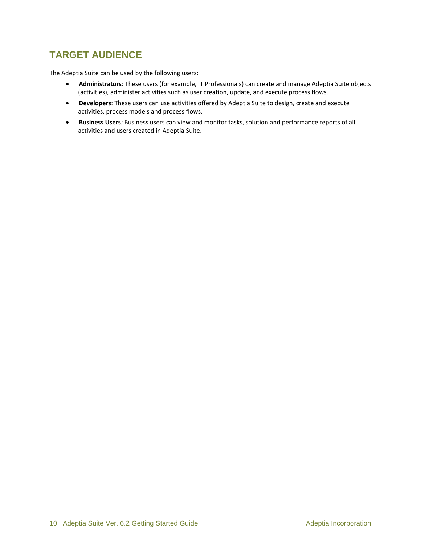## <span id="page-9-0"></span>**TARGET AUDIENCE**

The Adeptia Suite can be used by the following users:

- **Administrators**: These users (for example, IT Professionals) can create and manage Adeptia Suite objects (activities), administer activities such as user creation, update, and execute process flows.
- **Developers**: These users can use activities offered by Adeptia Suite to design, create and execute activities, process models and process flows.
- **Business Users***:* Business users can view and monitor tasks, solution and performance reports of all activities and users created in Adeptia Suite.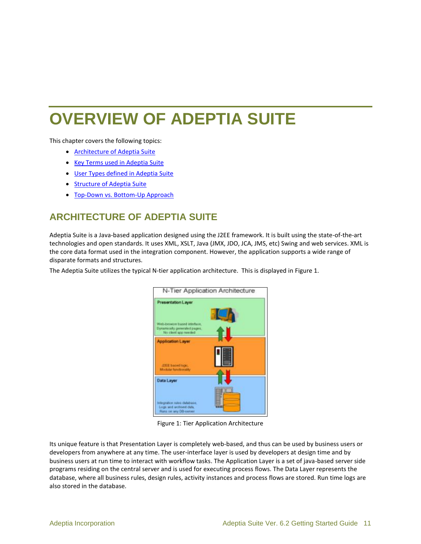## <span id="page-10-0"></span>**OVERVIEW OF ADEPTIA SUITE**

This chapter covers the following topics:

- [Architecture of Adeptia Suite](#page-10-1)
- [Key Terms used in Adeptia Suite](#page-13-0)
- **[User Types defined in Adeptia Suite](#page-15-0)**
- [Structure of Adeptia Suite](#page-16-0)
- Top-Down vs. [Bottom-Up Approach](#page-22-1)

## <span id="page-10-1"></span>**ARCHITECTURE OF ADEPTIA SUITE**

Adeptia Suite is a Java-based application designed using the J2EE framework. It is built using the state-of-the-art technologies and open standards. It uses XML, XSLT, Java (JMX, JDO, JCA, JMS, etc) Swing and web services. XML is the core data format used in the integration component. However, the application supports a wide range of disparate formats and structures.

The Adeptia Suite utilizes the typical N-tier application architecture. This is displayed in [Figure 1.](#page-10-2)



Figure 1: Tier Application Architecture

<span id="page-10-2"></span>Its unique feature is that Presentation Layer is completely web-based, and thus can be used by business users or developers from anywhere at any time. The user-interface layer is used by developers at design time and by business users at run time to interact with workflow tasks. The Application Layer is a set of java-based server side programs residing on the central server and is used for executing process flows. The Data Layer represents the database, where all business rules, design rules, activity instances and process flows are stored. Run time logs are also stored in the database.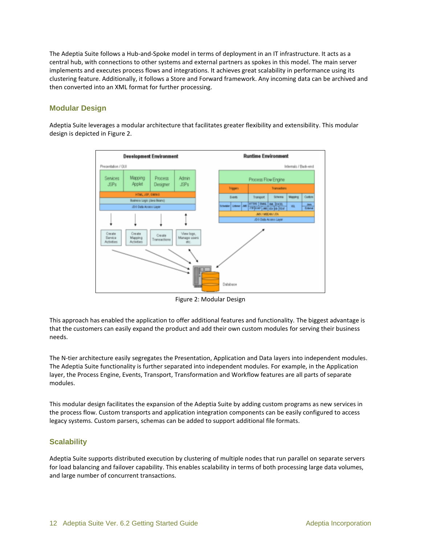The Adeptia Suite follows a Hub-and-Spoke model in terms of deployment in an IT infrastructure. It acts as a central hub, with connections to other systems and external partners as spokes in this model. The main server implements and executes process flows and integrations. It achieves great scalability in performance using its clustering feature. Additionally, it follows a Store and Forward framework. Any incoming data can be archived and then converted into an XML format for further processing.

#### <span id="page-11-0"></span>**Modular Design**

Adeptia Suite leverages a modular architecture that facilitates greater flexibility and extensibility. This modular design is depicted in [Figure 2.](#page-11-2)



Figure 2: Modular Design

<span id="page-11-2"></span>This approach has enabled the application to offer additional features and functionality. The biggest advantage is that the customers can easily expand the product and add their own custom modules for serving their business needs.

The N-tier architecture easily segregates the Presentation, Application and Data layers into independent modules. The Adeptia Suite functionality is further separated into independent modules. For example, in the Application layer, the Process Engine, Events, Transport, Transformation and Workflow features are all parts of separate modules.

This modular design facilitates the expansion of the Adeptia Suite by adding custom programs as new services in the process flow. Custom transports and application integration components can be easily configured to access legacy systems. Custom parsers, schemas can be added to support additional file formats.

#### <span id="page-11-1"></span>**Scalability**

Adeptia Suite supports distributed execution by clustering of multiple nodes that run parallel on separate servers for load balancing and failover capability. This enables scalability in terms of both processing large data volumes, and large number of concurrent transactions.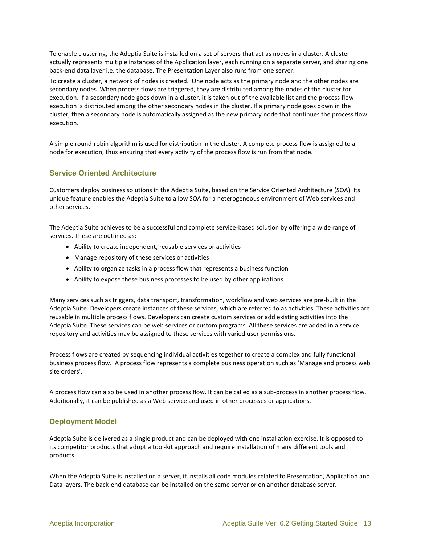To enable clustering, the Adeptia Suite is installed on a set of servers that act as nodes in a cluster. A cluster actually represents multiple instances of the Application layer, each running on a separate server, and sharing one back-end data layer i.e. the database. The Presentation Layer also runs from one server.

To create a cluster, a network of nodes is created. One node acts as the primary node and the other nodes are secondary nodes. When process flows are triggered, they are distributed among the nodes of the cluster for execution. If a secondary node goes down in a cluster, it is taken out of the available list and the process flow execution is distributed among the other secondary nodes in the cluster. If a primary node goes down in the cluster, then a secondary node is automatically assigned as the new primary node that continues the process flow execution.

A simple round-robin algorithm is used for distribution in the cluster. A complete process flow is assigned to a node for execution, thus ensuring that every activity of the process flow is run from that node.

#### <span id="page-12-0"></span>**Service Oriented Architecture**

Customers deploy business solutions in the Adeptia Suite, based on the Service Oriented Architecture (SOA). Its unique feature enables the Adeptia Suite to allow SOA for a heterogeneous environment of Web services and other services.

The Adeptia Suite achieves to be a successful and complete service-based solution by offering a wide range of services. These are outlined as:

- Ability to create independent, reusable services or activities
- Manage repository of these services or activities
- Ability to organize tasks in a process flow that represents a business function
- Ability to expose these business processes to be used by other applications

Many services such as triggers, data transport, transformation, workflow and web services are pre-built in the Adeptia Suite. Developers create instances of these services, which are referred to as activities. These activities are reusable in multiple process flows. Developers can create custom services or add existing activities into the Adeptia Suite. These services can be web services or custom programs. All these services are added in a service repository and activities may be assigned to these services with varied user permissions.

Process flows are created by sequencing individual activities together to create a complex and fully functional business process flow. A process flow represents a complete business operation such as 'Manage and process web site orders'.

A process flow can also be used in another process flow. It can be called as a sub-process in another process flow. Additionally, it can be published as a Web service and used in other processes or applications.

#### <span id="page-12-1"></span>**Deployment Model**

Adeptia Suite is delivered as a single product and can be deployed with one installation exercise. It is opposed to its competitor products that adopt a tool-kit approach and require installation of many different tools and products.

When the Adeptia Suite is installed on a server, it installs all code modules related to Presentation, Application and Data layers. The back-end database can be installed on the same server or on another database server.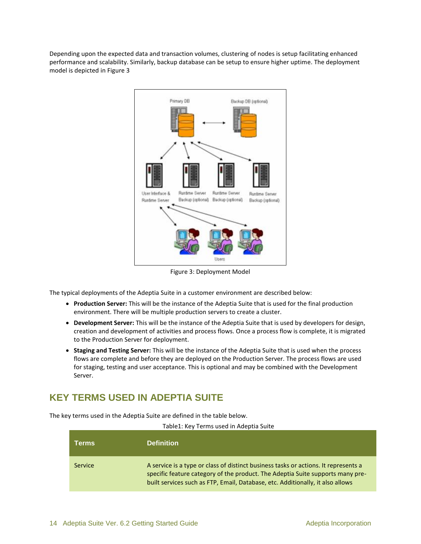Depending upon the expected data and transaction volumes, clustering of nodes is setup facilitating enhanced performance and scalability. Similarly, backup database can be setup to ensure higher uptime. The deployment model is depicted in [Figure 3](#page-13-1)



Figure 3: Deployment Model

<span id="page-13-1"></span>The typical deployments of the Adeptia Suite in a customer environment are described below:

- **Production Server:** This will be the instance of the Adeptia Suite that is used for the final production environment. There will be multiple production servers to create a cluster.
- **Development Server:** This will be the instance of the Adeptia Suite that is used by developers for design, creation and development of activities and process flows. Once a process flow is complete, it is migrated to the Production Server for deployment.
- **Staging and Testing Server:** This will be the instance of the Adeptia Suite that is used when the process flows are complete and before they are deployed on the Production Server. The process flows are used for staging, testing and user acceptance. This is optional and may be combined with the Development Server.

## <span id="page-13-0"></span>**KEY TERMS USED IN ADEPTIA SUITE**

The key terms used in the Adeptia Suite are defined in the table below.

| Table1: Key Terms used in Adeptia Suite |  |  |  |  |  |
|-----------------------------------------|--|--|--|--|--|
|-----------------------------------------|--|--|--|--|--|

| <b>Terms</b> | <b>Definition</b>                                                                                                                                                                                                                                       |
|--------------|---------------------------------------------------------------------------------------------------------------------------------------------------------------------------------------------------------------------------------------------------------|
| Service      | A service is a type or class of distinct business tasks or actions. It represents a<br>specific feature category of the product. The Adeptia Suite supports many pre-<br>built services such as FTP, Email, Database, etc. Additionally, it also allows |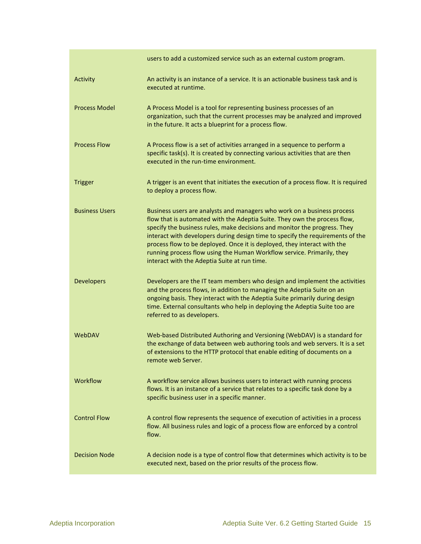|                       | users to add a customized service such as an external custom program.                                                                                                                                                                                                                                                                                                                                                                                                                                                     |
|-----------------------|---------------------------------------------------------------------------------------------------------------------------------------------------------------------------------------------------------------------------------------------------------------------------------------------------------------------------------------------------------------------------------------------------------------------------------------------------------------------------------------------------------------------------|
| Activity              | An activity is an instance of a service. It is an actionable business task and is<br>executed at runtime.                                                                                                                                                                                                                                                                                                                                                                                                                 |
| <b>Process Model</b>  | A Process Model is a tool for representing business processes of an<br>organization, such that the current processes may be analyzed and improved<br>in the future. It acts a blueprint for a process flow.                                                                                                                                                                                                                                                                                                               |
| <b>Process Flow</b>   | A Process flow is a set of activities arranged in a sequence to perform a<br>specific task(s). It is created by connecting various activities that are then<br>executed in the run-time environment.                                                                                                                                                                                                                                                                                                                      |
| <b>Trigger</b>        | A trigger is an event that initiates the execution of a process flow. It is required<br>to deploy a process flow.                                                                                                                                                                                                                                                                                                                                                                                                         |
| <b>Business Users</b> | Business users are analysts and managers who work on a business process<br>flow that is automated with the Adeptia Suite. They own the process flow,<br>specify the business rules, make decisions and monitor the progress. They<br>interact with developers during design time to specify the requirements of the<br>process flow to be deployed. Once it is deployed, they interact with the<br>running process flow using the Human Workflow service. Primarily, they<br>interact with the Adeptia Suite at run time. |
| <b>Developers</b>     | Developers are the IT team members who design and implement the activities<br>and the process flows, in addition to managing the Adeptia Suite on an<br>ongoing basis. They interact with the Adeptia Suite primarily during design<br>time. External consultants who help in deploying the Adeptia Suite too are<br>referred to as developers.                                                                                                                                                                           |
| WebDAV                | Web-based Distributed Authoring and Versioning (WebDAV) is a standard for<br>the exchange of data between web authoring tools and web servers. It is a set<br>of extensions to the HTTP protocol that enable editing of documents on a<br>remote web Server.                                                                                                                                                                                                                                                              |
| Workflow              | A workflow service allows business users to interact with running process<br>flows. It is an instance of a service that relates to a specific task done by a<br>specific business user in a specific manner.                                                                                                                                                                                                                                                                                                              |
| <b>Control Flow</b>   | A control flow represents the sequence of execution of activities in a process<br>flow. All business rules and logic of a process flow are enforced by a control<br>flow.                                                                                                                                                                                                                                                                                                                                                 |
| <b>Decision Node</b>  | A decision node is a type of control flow that determines which activity is to be<br>executed next, based on the prior results of the process flow.                                                                                                                                                                                                                                                                                                                                                                       |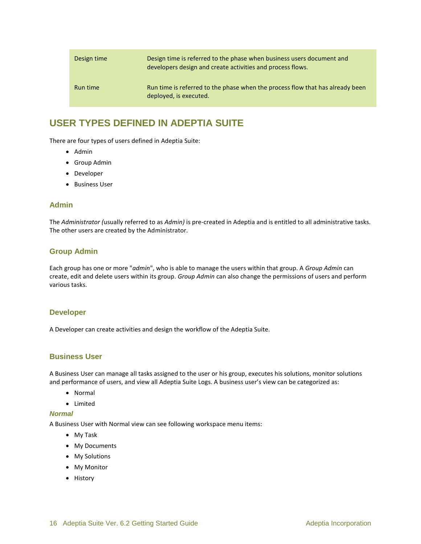| Design time | Design time is referred to the phase when business users document and<br>developers design and create activities and process flows. |
|-------------|-------------------------------------------------------------------------------------------------------------------------------------|
| Run time    | Run time is referred to the phase when the process flow that has already been<br>deployed, is executed.                             |

## <span id="page-15-0"></span>**USER TYPES DEFINED IN ADEPTIA SUITE**

There are four types of users defined in Adeptia Suite:

- [Admin](#page-15-1)
- [Group Admin](#page-15-2)
- [Developer](#page-15-5)
- **•** [Business User](#page-15-6)

#### <span id="page-15-1"></span>**Admin**

The *Administrator (*usually referred to as *Admin)* is pre-created in Adeptia and is entitled to all administrative tasks. The other users are created by the Administrator.

#### <span id="page-15-2"></span>**Group Admin**

Each group has one or more "*admin*", who is able to manage the users within that group. A *Group Admin* can create, edit and delete users within its group. *Group Admin* can also change the permissions of users and perform various tasks.

#### <span id="page-15-5"></span><span id="page-15-3"></span>**Developer**

<span id="page-15-6"></span>A Developer can create activities and design the workflow of the Adeptia Suite.

#### <span id="page-15-4"></span>**Business User**

A Business User can manage all tasks assigned to the user or his group, executes his solutions, monitor solutions and performance of users, and view all Adeptia Suite Logs. A business user's view can be categorized as:

- Normal
- Limited

#### *Normal*

A Business User with Normal view can see following workspace menu items:

- My Task
- My Documents
- My Solutions
- My Monitor
- History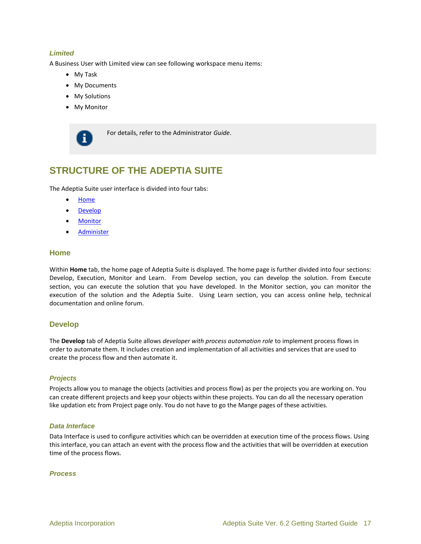#### *Limited*

A Business User with Limited view can see following workspace menu items:

- My Task
- My Documents
- My Solutions
- My Monitor



For details, refer to the Administrator *Guide*.

## <span id="page-16-0"></span>**STRUCTURE OF THE ADEPTIA SUITE**

The Adeptia Suite user interface is divided into four tabs:

- [Home](#page-16-1)
- [Develop](#page-16-2)
- **[Monitor](#page-20-0)**
- **•** [Administer](#page-22-0)

#### <span id="page-16-1"></span>**Home**

Within **Home** tab, the home page of Adeptia Suite is displayed. The home page is further divided into four sections: Develop, Execution, Monitor and Learn. From Develop section, you can develop the solution. From Execute section, you can execute the solution that you have developed. In the Monitor section, you can monitor the execution of the solution and the Adeptia Suite. Using Learn section, you can access online help, technical documentation and online forum.

#### <span id="page-16-2"></span>**Develop**

The **Develop** tab of Adeptia Suite allows *developer with process automation role* to implement process flows in order to automate them. It includes creation and implementation of all activities and services that are used to create the process flow and then automate it.

#### *Projects*

Projects allow you to manage the objects (activities and process flow) as per the projects you are working on. You can create different projects and keep your objects within these projects. You can do all the necessary operation like updation etc from Project page only. You do not have to go the Mange pages of these activities.

#### *Data Interface*

Data Interface is used to configure activities which can be overridden at execution time of the process flows. Using this interface, you can attach an event with the process flow and the activities that will be overridden at execution time of the process flows.

#### *Process*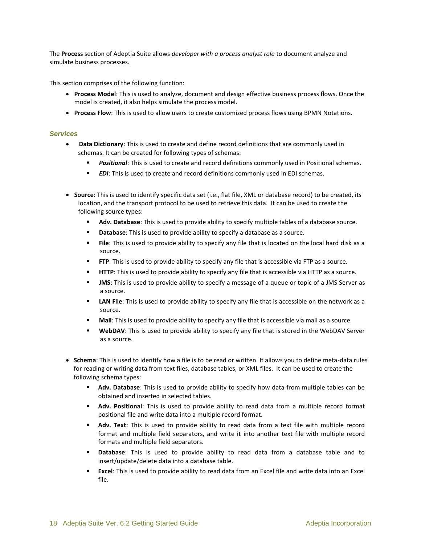The **Process** section of Adeptia Suite allows *developer with a process analyst role* to document analyze and simulate business processes.

This section comprises of the following function:

- **Process Model**: This is used to analyze, document and design effective business process flows. Once the model is created, it also helps simulate the process model.
- **Process Flow**: This is used to allow users to create customized process flows using BPMN Notations.

#### *Services*

- **Data Dictionary**: This is used to create and define record definitions that are commonly used in schemas. It can be created for following types of schemas:
	- **Positional:** This is used to create and record definitions commonly used in Positional schemas.
	- *EDI*: This is used to create and record definitions commonly used in EDI schemas.
- **Source**: This is used to identify specific data set (i.e., flat file, XML or database record) to be created, its location, and the transport protocol to be used to retrieve this data. It can be used to create the following source types:
	- **Adv. Database**: This is used to provide ability to specify multiple tables of a database source.
	- **Database**: This is used to provide ability to specify a database as a source.
	- **File:** This is used to provide ability to specify any file that is located on the local hard disk as a source.
	- **FTP**: This is used to provide ability to specify any file that is accessible via FTP as a source.
	- **HTTP**: This is used to provide ability to specify any file that is accessible via HTTP as a source.
	- **JMS**: This is used to provide ability to specify a message of a queue or topic of a JMS Server as a source.
	- **LAN File**: This is used to provide ability to specify any file that is accessible on the network as a source.
	- **Mail:** This is used to provide ability to specify any file that is accessible via mail as a source.
	- **WebDAV:** This is used to provide ability to specify any file that is stored in the WebDAV Server as a source.
- **Schema**: This is used to identify how a file is to be read or written. It allows you to define meta-data rules for reading or writing data from text files, database tables, or XML files. It can be used to create the following schema types:
	- **Adv. Database**: This is used to provide ability to specify how data from multiple tables can be obtained and inserted in selected tables.
	- **Adv. Positional**: This is used to provide ability to read data from a multiple record format positional file and write data into a multiple record format.
	- **Adv. Text**: This is used to provide ability to read data from a text file with multiple record format and multiple field separators, and write it into another text file with multiple record formats and multiple field separators.
	- **Database**: This is used to provide ability to read data from a database table and to insert/update/delete data into a database table.
	- **Excel**: This is used to provide ability to read data from an Excel file and write data into an Excel file.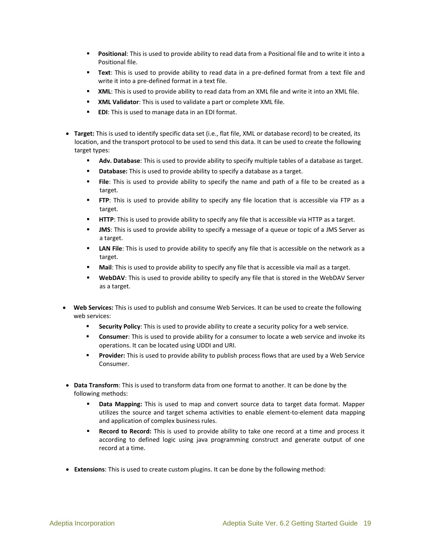- **Positional:** This is used to provide ability to read data from a Positional file and to write it into a Positional file.
- **Text**: This is used to provide ability to read data in a pre-defined format from a text file and write it into a pre-defined format in a text file.
- **XML:** This is used to provide ability to read data from an XML file and write it into an XML file.
- **XML Validator**: This is used to validate a part or complete XML file.
- **EDI:** This is used to manage data in an EDI format.
- **Target:** This is used to identify specific data set (i.e., flat file, XML or database record) to be created, its location, and the transport protocol to be used to send this data. It can be used to create the following target types:
	- **Adv. Database**: This is used to provide ability to specify multiple tables of a database as target.
	- **Database:** This is used to provide ability to specify a database as a target.
	- **File**: This is used to provide ability to specify the name and path of a file to be created as a target.
	- **FTP**: This is used to provide ability to specify any file location that is accessible via FTP as a target.
	- **HTTP**: This is used to provide ability to specify any file that is accessible via HTTP as a target.
	- **JMS:** This is used to provide ability to specify a message of a queue or topic of a JMS Server as a target.
	- **LAN File**: This is used to provide ability to specify any file that is accessible on the network as a target.
	- **Mail**: This is used to provide ability to specify any file that is accessible via mail as a target.
	- **WebDAV:** This is used to provide ability to specify any file that is stored in the WebDAV Server as a target.
- **Web Services:** This is used to publish and consume Web Services. It can be used to create the following web services:
	- **Security Policy**: This is used to provide ability to create a security policy for a web service.
	- **Consumer**: This is used to provide ability for a consumer to locate a web service and invoke its operations. It can be located using UDDI and URI.
	- **Provider:** This is used to provide ability to publish process flows that are used by a Web Service Consumer.
- **Data Transform**: This is used to transform data from one format to another. It can be done by the following methods:
	- **Data Mapping:** This is used to map and convert source data to target data format. Mapper utilizes the source and target schema activities to enable element-to-element data mapping and application of complex business rules.
	- **Record to Record:** This is used to provide ability to take one record at a time and process it according to defined logic using java programming construct and generate output of one record at a time.
- **Extensions**: This is used to create custom plugins. It can be done by the following method: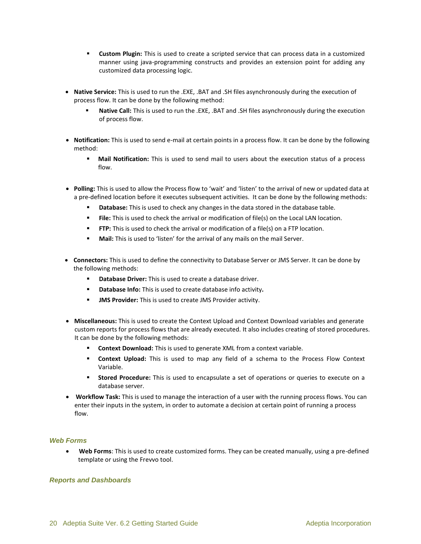- **Custom Plugin:** This is used to create a scripted service that can process data in a customized manner using java-programming constructs and provides an extension point for adding any customized data processing logic.
- **Native Service:** This is used to run the .EXE, .BAT and .SH files asynchronously during the execution of process flow. It can be done by the following method:
	- **Native Call:** This is used to run the .EXE, .BAT and .SH files asynchronously during the execution of process flow.
- **Notification:** This is used to send e-mail at certain points in a process flow. It can be done by the following method:
	- **Mail Notification:** This is used to send mail to users about the execution status of a process flow.
- **Polling:** This is used to allow the Process flow to 'wait' and 'listen' to the arrival of new or updated data at a pre-defined location before it executes subsequent activities. It can be done by the following methods:
	- **Database:** This is used to check any changes in the data stored in the database table.
	- **File:** This is used to check the arrival or modification of file(s) on the Local LAN location.
	- **FTP:** This is used to check the arrival or modification of a file(s) on a FTP location.
	- **Mail:** This is used to 'listen' for the arrival of any mails on the mail Server.
- **Connectors:** This is used to define the connectivity to Database Server or JMS Server. It can be done by the following methods:
	- **Database Driver:** This is used to create a database driver.
	- **Database Info:** This is used to create database info activity*.*
	- **JMS Provider:** This is used to create JMS Provider activity.
- **Miscellaneous:** This is used to create the Context Upload and Context Download variables and generate custom reports for process flows that are already executed. It also includes creating of stored procedures. It can be done by the following methods:
	- **Context Download:** This is used to generate XML from a context variable.
	- **Context Upload:** This is used to map any field of a schema to the Process Flow Context Variable.
	- **Stored Procedure:** This is used to encapsulate a set of operations or queries to execute on a database server.
- **Workflow Task:** This is used to manage the interaction of a user with the running process flows. You can enter their inputs in the system, in order to automate a decision at certain point of running a process flow.

#### *Web Forms*

 **Web Forms**: This is used to create customized forms. They can be created manually, using a pre-defined template or using the Frevvo tool.

#### *Reports and Dashboards*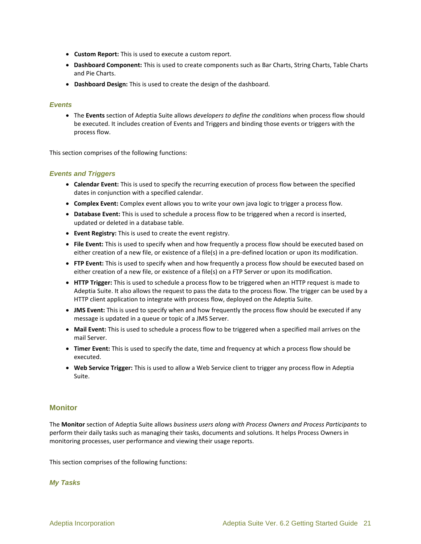- **Custom Report:** This is used to execute a custom report.
- **Dashboard Component:** This is used to create components such as Bar Charts, String Charts, Table Charts and Pie Charts.
- **Dashboard Design:** This is used to create the design of the dashboard.

#### *Events*

 The **Events** section of Adeptia Suite allows *developers to define the conditions* when process flow should be executed. It includes creation of Events and Triggers and binding those events or triggers with the process flow.

This section comprises of the following functions:

#### *Events and Triggers*

- **Calendar Event:** This is used to specify the recurring execution of process flow between the specified dates in conjunction with a specified calendar.
- **Complex Event:** Complex event allows you to write your own java logic to trigger a process flow.
- **Database Event:** This is used to schedule a process flow to be triggered when a record is inserted, updated or deleted in a database table.
- **Event Registry:** This is used to create the event registry.
- **File Event:** This is used to specify when and how frequently a process flow should be executed based on either creation of a new file, or existence of a file(s) in a pre-defined location or upon its modification.
- **FTP Event:** This is used to specify when and how frequently a process flow should be executed based on either creation of a new file, or existence of a file(s) on a FTP Server or upon its modification.
- **HTTP Trigger:** This is used to schedule a process flow to be triggered when an HTTP request is made to Adeptia Suite. It also allows the request to pass the data to the process flow. The trigger can be used by a HTTP client application to integrate with process flow, deployed on the Adeptia Suite.
- **JMS Event:** This is used to specify when and how frequently the process flow should be executed if any message is updated in a queue or topic of a JMS Server.
- **Mail Event:** This is used to schedule a process flow to be triggered when a specified mail arrives on the mail Server.
- **Timer Event:** This is used to specify the date, time and frequency at which a process flow should be executed.
- **Web Service Trigger:** This is used to allow a Web Service client to trigger any process flow in Adeptia Suite.

#### <span id="page-20-0"></span>**Monitor**

The **Monitor** section of Adeptia Suite allows *business users along with Process Owners and Process Participants* to perform their daily tasks such as managing their tasks, documents and solutions. It helps Process Owners in monitoring processes, user performance and viewing their usage reports.

This section comprises of the following functions:

#### *My Tasks*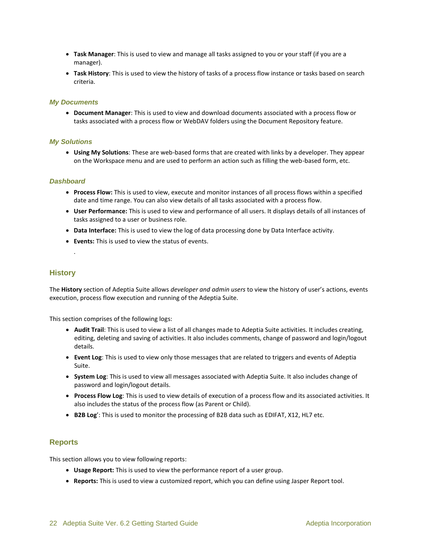- **Task Manager**: This is used to view and manage all tasks assigned to you or your staff (if you are a manager).
- **Task History**: This is used to view the history of tasks of a process flow instance or tasks based on search criteria.

#### *My Documents*

 **Document Manager**: This is used to view and download documents associated with a process flow or tasks associated with a process flow or WebDAV folders using the Document Repository feature.

#### *My Solutions*

 **Using My Solutions**: These are web-based forms that are created with links by a developer. They appear on the Workspace menu and are used to perform an action such as filling the web-based form, etc.

#### *Dashboard*

- **Process Flow:** This is used to view, execute and monitor instances of all process flows within a specified date and time range. You can also view details of all tasks associated with a process flow.
- **User Performance:** This is used to view and performance of all users. It displays details of all instances of tasks assigned to a user or business role.
- **Data Interface:** This is used to view the log of data processing done by Data Interface activity.
- **Events:** This is used to view the status of events.

#### <span id="page-21-0"></span>**History**

.

The **History** section of Adeptia Suite allows *developer and admin users* to view the history of user's actions, events execution, process flow execution and running of the Adeptia Suite.

This section comprises of the following logs:

- **Audit Trail**: This is used to view a list of all changes made to Adeptia Suite activities. It includes creating, editing, deleting and saving of activities. It also includes comments, change of password and login/logout details.
- **Event Log**: This is used to view only those messages that are related to triggers and events of Adeptia Suite.
- **System Log**: This is used to view all messages associated with Adeptia Suite. It also includes change of password and login/logout details.
- **Process Flow Log**: This is used to view details of execution of a process flow and its associated activities. It also includes the status of the process flow (as Parent or Child).
- **B2B Log**': This is used to monitor the processing of B2B data such as EDIFAT, X12, HL7 etc.

#### <span id="page-21-1"></span>**Reports**

This section allows you to view following reports:

- **Usage Report:** This is used to view the performance report of a user group.
- **Reports:** This is used to view a customized report, which you can define using Jasper Report tool.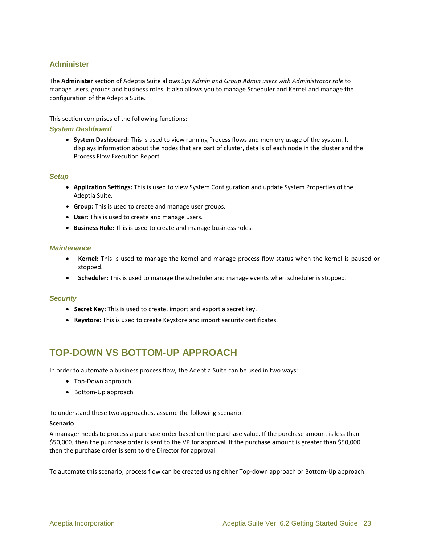#### <span id="page-22-0"></span>**Administer**

The **Administer** section of Adeptia Suite allows *Sys Admin and Group Admin users with Administrator role* to manage users, groups and business roles. It also allows you to manage Scheduler and Kernel and manage the configuration of the Adeptia Suite.

This section comprises of the following functions:

#### *System Dashboard*

 **System Dashboard:** This is used to view running Process flows and memory usage of the system. It displays information about the nodes that are part of cluster, details of each node in the cluster and the Process Flow Execution Report.

#### *Setup*

- **Application Settings:** This is used to view System Configuration and update System Properties of the Adeptia Suite.
- **Group:** This is used to create and manage user groups.
- **User:** This is used to create and manage users.
- **Business Role:** This is used to create and manage business roles.

#### *Maintenance*

- **Kernel:** This is used to manage the kernel and manage process flow status when the kernel is paused or stopped.
- **Scheduler:** This is used to manage the scheduler and manage events when scheduler is stopped.

#### *Security*

- **Secret Key:** This is used to create, import and export a secret key.
- **Keystore:** This is used to create Keystore and import security certificates.

### <span id="page-22-1"></span>**TOP-DOWN VS BOTTOM-UP APPROACH**

In order to automate a business process flow, the Adeptia Suite can be used in two ways:

- [Top-Down approach](#page-23-0)
- [Bottom-Up approach](#page-23-1)

To understand these two approaches, assume the following scenario:

#### **Scenario**

A manager needs to process a purchase order based on the purchase value. If the purchase amount is less than \$50,000, then the purchase order is sent to the VP for approval. If the purchase amount is greater than \$50,000 then the purchase order is sent to the Director for approval.

To automate this scenario, process flow can be created using either Top-down approach or Bottom-Up approach.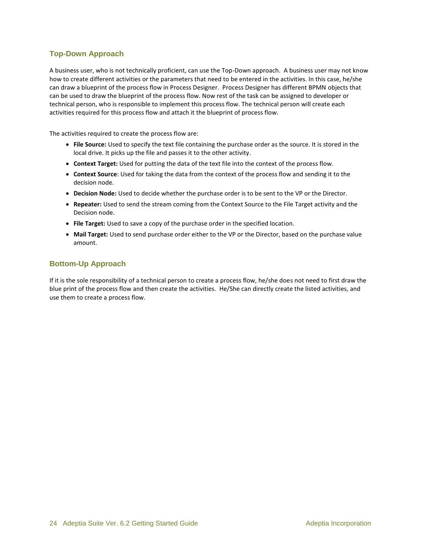#### <span id="page-23-0"></span>**Top-Down Approach**

A business user, who is not technically proficient, can use the Top-Down approach. A business user may not know how to create different activities or the parameters that need to be entered in the activities. In this case, he/she can draw a blueprint of the process flow in Process Designer. Process Designer has different BPMN objects that can be used to draw the blueprint of the process flow. Now rest of the task can be assigned to developer or technical person, who is responsible to implement this process flow. The technical person will create each activities required for this process flow and attach it the blueprint of process flow.

The activities required to create the process flow are:

- **File Source:** Used to specify the text file containing the purchase order as the source. It is stored in the local drive. It picks up the file and passes it to the other activity.
- **Context Target:** Used for putting the data of the text file into the context of the process flow.
- **Context Source**: Used for taking the data from the context of the process flow and sending it to the decision node.
- **Decision Node:** Used to decide whether the purchase order is to be sent to the VP or the Director.
- **Repeater:** Used to send the stream coming from the Context Source to the File Target activity and the Decision node.
- **File Target:** Used to save a copy of the purchase order in the specified location.
- **Mail Target:** Used to send purchase order either to the VP or the Director, based on the purchase value amount.

#### <span id="page-23-1"></span>**Bottom-Up Approach**

If it is the sole responsibility of a technical person to create a process flow, he/she does not need to first draw the blue print of the process flow and then create the activities. He/She can directly create the listed activities, and use them to create a process flow.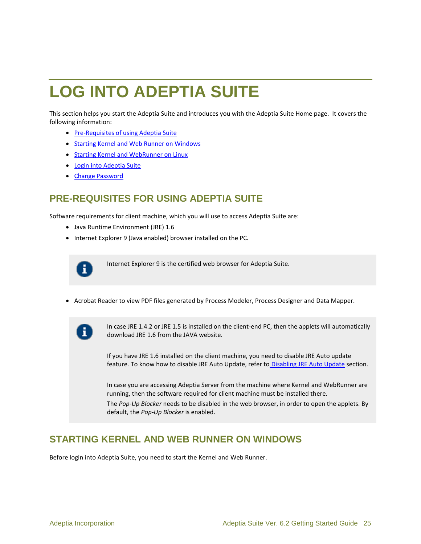## <span id="page-24-2"></span>**LOG INTO ADEPTIA SUITE**

This section helps you start the Adeptia Suite and introduces you with the Adeptia Suite Home page. It covers the following information:

- [Pre-Requisites of using Adeptia Suite](#page-24-0)
- **Starting Kernel [and Web Runner on Windows](#page-24-1)**
- **Starting Kernel [and WebRunner on Linux](#page-26-0)**
- [Login into Adeptia Suite](#page-27-0)
- [Change Password](#page-29-2)

## <span id="page-24-0"></span>**PRE-REQUISITES FOR USING ADEPTIA SUITE**

Software requirements for client machine, which you will use to access Adeptia Suite are:

- Java Runtime Environment (JRE) 1.6
- Internet Explorer 9 (Java enabled) browser installed on the PC.

Internet Explorer 9 is the certified web browser for Adeptia Suite.

Acrobat Reader to view PDF files generated by Process Modeler, Process Designer and Data Mapper.



In case JRE 1.4.2 or JRE 1.5 is installed on the client-end PC, then the applets will automatically download JRE 1.6 from the JAVA website.

If you have JRE 1.6 installed on the client machine, you need to disable JRE Auto update feature. To know how to disable JRE Auto Update, refer to Disabling JRE Auto Update section.

In case you are accessing Adeptia Server from the machine where Kernel and WebRunner are running, then the software required for client machine must be installed there.

The *Pop-Up Blocker* needs to be disabled in the web browser, in order to open the applets. By default, the *Pop-Up Blocker* is enabled.

## <span id="page-24-1"></span>**STARTING KERNEL AND WEB RUNNER ON WINDOWS**

Before login into Adeptia Suite, you need to start the Kernel and Web Runner.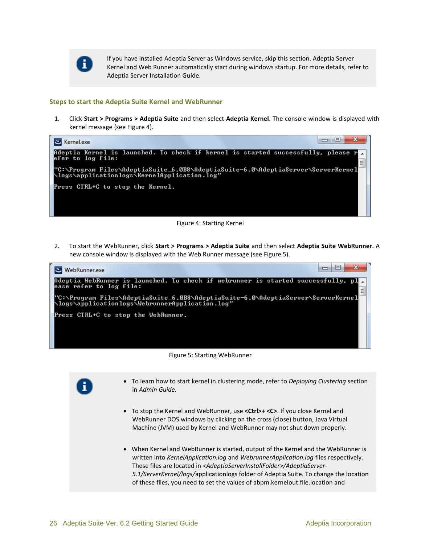

If you have installed Adeptia Server as Windows service, skip this section. Adeptia Server Kernel and Web Runner automatically start during windows startup. For more details, refer to Adeptia Server Installation Guide.

#### **Steps to start the Adeptia Suite Kernel and WebRunner**

1. Click **Start > Programs > Adeptia Suite** and then select **Adeptia Kernel**. The console window is displayed with kernel message (see [Figure 4\)](#page-25-0).

| Kernel.exe ف                                                                                                                      |   |
|-----------------------------------------------------------------------------------------------------------------------------------|---|
| Adeptia Kernel is launched. To check if kernel is started successfully, please r<br>efer to log file:                             | Ξ |
| l"C:\Program_Files\AdeptiaSuite_6.0B8\AdeptiaSuite-6.0\AdeptiaServer\ServerKernel<br>\logs\applicationlogs\KernelApplication.log" |   |
| Press CTRL+C to stop the Kernel.                                                                                                  |   |
|                                                                                                                                   |   |
| .                                                                                                                                 |   |

- Figure 4: Starting Kernel
- <span id="page-25-0"></span>2. To start the WebRunner, click **Start > Programs > Adeptia Suite** and then select **Adeptia Suite WebRunner**. A new console window is displayed with the Web Runner message (see [Figure 5\)](#page-25-1).





- <span id="page-25-1"></span>n.
- To learn how to start kernel in clustering mode, refer to *Deploying Clustering* section in *Admin Guide*.
- To stop the Kernel and WebRunner, use **<Ctrl>+ <C>**. If you close Kernel and WebRunner DOS windows by clicking on the cross (close) button, Java Virtual Machine (JVM) used by Kernel and WebRunner may not shut down properly.
- When Kernel and WebRunner is started, output of the Kernel and the WebRunner is written into *KernelApplication.log* and *WebrunnerApplication.log* files respectively. These files are located in *<AdeptiaServerInstallFolder>/AdeptiaServer-5.1/ServerKernel/logs/*applicationlogs folder of Adeptia Suite. To change the location of these files, you need to set the values of abpm.kernelout.file.location and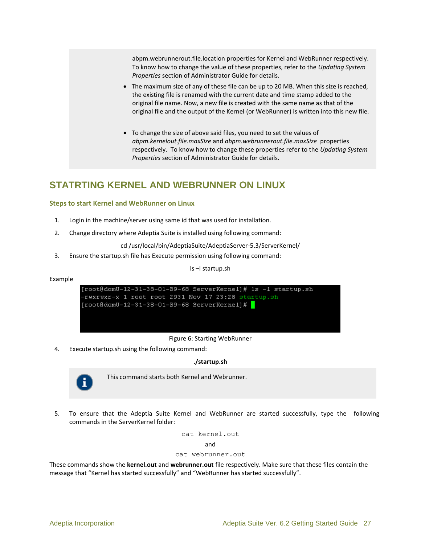abpm.webrunnerout.file.location properties for Kernel and WebRunner respectively. To know how to change the value of these properties, refer to the *Updating System Properties* section of Administrator Guide for details.

- The maximum size of any of these file can be up to 20 MB. When this size is reached, the existing file is renamed with the current date and time stamp added to the original file name. Now, a new file is created with the same name as that of the original file and the output of the Kernel (or WebRunner) is written into this new file.
- To change the size of above said files, you need to set the values of *abpm.kernelout.file.maxSize* and *abpm.webrunnerout.file.maxSize* properties respectively. To know how to change these properties refer to the *Updating System Properties* section of Administrator Guide for details.

## <span id="page-26-0"></span>**STATRTING KERNEL AND WEBRUNNER ON LINUX**

#### **Steps to start Kernel and WebRunner on Linux**

- 1. Login in the machine/server using same id that was used for installation.
- 2. Change directory where Adeptia Suite is installed using following command:

cd /usr/local/bin/AdeptiaSuite/AdeptiaServer-5.3/ServerKernel/

3. Ensure the startup.sh file has Execute permission using following command:

ls –l startup.sh

#### Example

[root@domU-12-31-38-01-B9-68 ServerKernel]# 1s -1 startup.sh -rwxrwxr-x 1 root root 2931 Nov 17 23:28 startup.sh [root@domU-12-31-38-01-B9-68 ServerKernel]# |

#### Figure 6: Starting WebRunner

<span id="page-26-1"></span>4. Execute startup.sh using the following command:

#### **./startup.sh**



This command starts both Kernel and Webrunner.

5. To ensure that the Adeptia Suite Kernel and WebRunner are started successfully, type the following commands in the ServerKernel folder:

cat kernel.out

and

#### cat webrunner.out

These commands show the **kernel.out** and **webrunner.out** file respectively. Make sure that these files contain the message that "Kernel has started successfully" and "WebRunner has started successfully".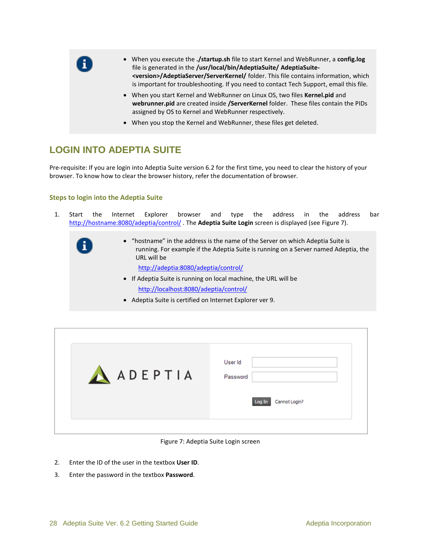

- When you execute the **./startup.sh** file to start Kernel and WebRunner, a **config.log** file is generated in the **/usr/local/bin/AdeptiaSuite/ AdeptiaSuite- <version>/AdeptiaServer/ServerKernel/** folder. This file contains information, which is important for troubleshooting. If you need to contact Tech Support, email this file.
- When you start Kernel and WebRunner on Linux OS, two files **Kernel.pid** and **webrunner.pid** are created inside **/ServerKernel** folder. These files contain the PIDs assigned by OS to Kernel and WebRunner respectively.
- When you stop the Kernel and WebRunner, these files get deleted.

## <span id="page-27-0"></span>**LOGIN INTO ADEPTIA SUITE**

Pre-requisite: If you are login into Adeptia Suite version 6.2 for the first time, you need to clear the history of your browser. To know how to clear the browser history, refer the documentation of browser.

#### **Steps to login into the Adeptia Suite**

- 1. Start the Internet Explorer browser and type the address in the address bar <http://hostname:8080/adeptia/control/> . The **Adeptia Suite Login** screen is displayed (see [Figure 7\)](#page-27-1).
	- "hostname" in the address is the name of the Server on which Adeptia Suite is running. For example if the Adeptia Suite is running on a Server named Adeptia, the URL will be

<http://adeptia:8080/adeptia/control/>

- If Adeptia Suite is running on local machine, the URL will be <http://localhost:8080/adeptia/control/>
- Adeptia Suite is certified on Internet Explorer ver 9.

| AADEPTIA | User Id<br>Password<br>Cannot Login?<br>Log In |
|----------|------------------------------------------------|
|          |                                                |

Figure 7: Adeptia Suite Login screen

- <span id="page-27-1"></span>2. Enter the ID of the user in the textbox **User ID**.
- 3. Enter the password in the textbox **Password**.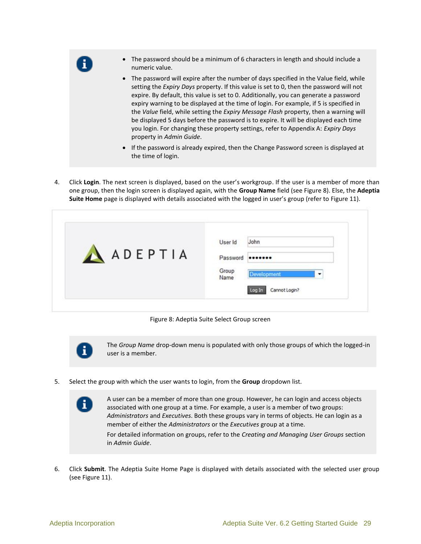

- The password should be a minimum of 6 characters in length and should include a numeric value.
- The password will expire after the number of days specified in the Value field, while setting the *Expiry Days* property. If this value is set to 0, then the password will not expire. By default, this value is set to 0. Additionally, you can generate a password expiry warning to be displayed at the time of login. For example, if 5 is specified in the *Value* field, while setting the *Expiry Message Flash* property, then a warning will be displayed 5 days before the password is to expire. It will be displayed each time you login. For changing these property settings, refer to Appendix A: *Expiry Days* property in *Admin Guide*.
- If the password is already expired, then the [Change Password](#page-30-0) screen is displayed at the time of login.
- 4. Click **Login**. The next screen is displayed, based on the user's workgroup. If the user is a member of more than one group, then the login screen is displayed again, with the **Group Name** field (se[e Figure 8\)](#page-28-0). Else, the **Adeptia Suite Home** page is displayed with details associated with the logged in user's group (refer to [Figure 11\)](#page-31-1).

| ADEPTIA | John<br>User Id<br><br>Password                      |
|---------|------------------------------------------------------|
|         | Group<br><b>Development</b><br>Name<br>Cannot Login? |

Figure 8: Adeptia Suite Select Group screen

<span id="page-28-0"></span>

Ŧ

The *Group Name* drop-down menu is populated with only those groups of which the logged-in user is a member.

5. Select the group with which the user wants to login, from the **Group** dropdown list.

A user can be a member of more than one group. However, he can login and access objects associated with one group at a time. For example, a user is a member of two groups: *Administrators* and *Executives*. Both these groups vary in terms of objects. He can login as a member of either the *Administrators* or the *Executives* group at a time. For detailed information on groups, refer to the *Creating and Managing User Groups* section in *Admin Guide*.

6. Click **Submit**. The Adeptia Suite Home Page is displayed with details associated with the selected user group (see [Figure 11\)](#page-31-1).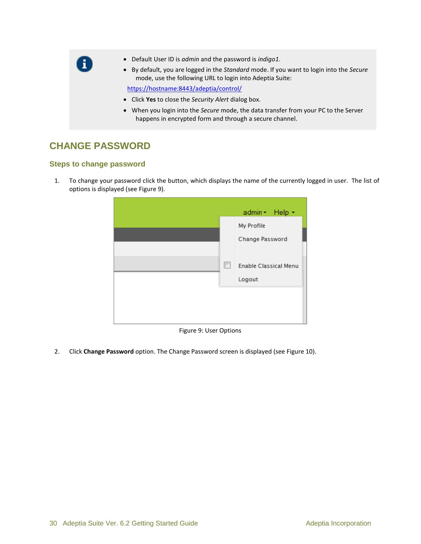- Default User ID is *admin* and the password is *indigo1*.
- By default, you are logged in the *Standard* mode. If you want to login into the *Secure* mode, use the following URL to login into Adeptia Suite:

<https://hostname:8443/adeptia/control/>

- Click **Yes** to close the *Security Alert* dialog box.
- When you login into the *Secure* mode, the data transfer from your PC to the Server happens in encrypted form and through a secure channel.

## <span id="page-29-2"></span><span id="page-29-0"></span>**CHANGE PASSWORD**

A

#### <span id="page-29-1"></span>**Steps to change password**

1. To change your password click the button, which displays the name of the currently logged in user. The list of options is displayed (see Figure 9).



Figure 9: User Options

<span id="page-29-3"></span>2. Click **Change Password** option. The Change Password screen is displayed (see [Figure 10\)](#page-30-1).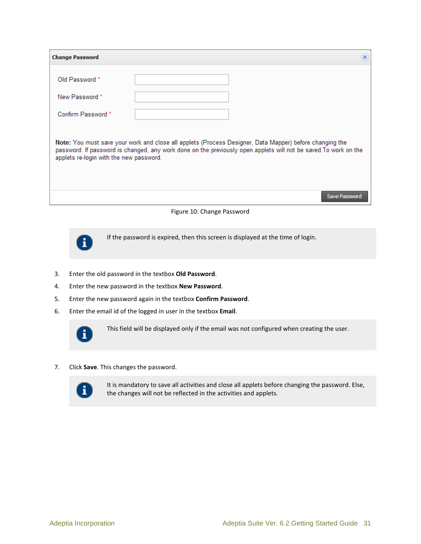| <b>Change Password</b>                                                                                                                                                                                                                                                 | × |  |  |  |  |
|------------------------------------------------------------------------------------------------------------------------------------------------------------------------------------------------------------------------------------------------------------------------|---|--|--|--|--|
| Old Password *                                                                                                                                                                                                                                                         |   |  |  |  |  |
| New Password *                                                                                                                                                                                                                                                         |   |  |  |  |  |
| Confirm Password *                                                                                                                                                                                                                                                     |   |  |  |  |  |
| Note: You must save your work and close all applets (Process Designer, Data Mapper) before changing the<br>password. If password is changed, any work done on the previously open applets will not be saved. To work on the<br>applets re-login with the new password. |   |  |  |  |  |

<span id="page-30-0"></span>

<span id="page-30-1"></span>

If the password is expired, then this screen is displayed at the time of login.

- 3. Enter the old password in the textbox **Old Password**.
- 4. Enter the new password in the textbox **New Password**.
- 5. Enter the new password again in the textbox **Confirm Password**.
- 6. Enter the email id of the logged in user in the textbox **Email**.



This field will be displayed only if the email was not configured when creating the user.

7. Click **Save**. This changes the password.



It is mandatory to save all activities and close all applets before changing the password. Else, the changes will not be reflected in the activities and applets.

Save Password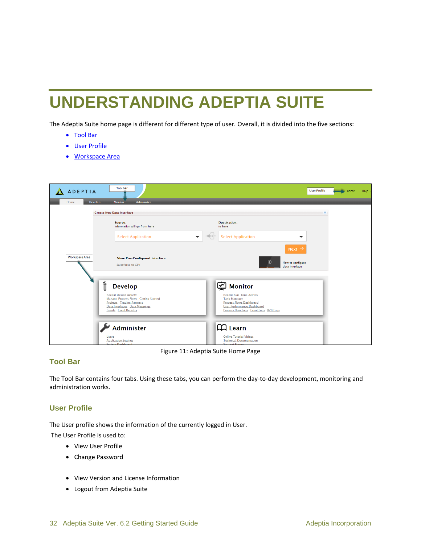## <span id="page-31-0"></span>**UNDERSTANDING ADEPTIA SUITE**

The Adeptia Suite home page is different for different type of user. Overall, it is divided into the five sections:

- [Tool Bar](#page-31-2)
- [User Profile](#page-31-3)
- [Workspace Area](#page-32-0)

| <b>ADEPTIA</b>         | <b>Tool bar</b>                                                                                                         |                                                                                                              | <b>User Profile</b><br>admin + Help |
|------------------------|-------------------------------------------------------------------------------------------------------------------------|--------------------------------------------------------------------------------------------------------------|-------------------------------------|
| Home<br><b>Develop</b> | <b>Monitor</b><br>Administer<br><b>Create New Data Interface</b>                                                        |                                                                                                              | 쇠                                   |
|                        | Source:<br>Information will go from here                                                                                | <b>Destination:</b><br>to here                                                                               |                                     |
|                        | <b>Select Application</b><br>$\overline{\phantom{a}}$                                                                   | <b>Select Application</b><br>$\overline{\phantom{a}}$                                                        |                                     |
| <b>Workspace Area</b>  |                                                                                                                         | Next $\rightarrow$                                                                                           |                                     |
|                        | <b>View Pre-Configured Interface:</b><br>Salesforce to CSV                                                              | $\odot$<br>How to configure<br>data interface                                                                |                                     |
|                        |                                                                                                                         |                                                                                                              |                                     |
|                        | <b>Recent Design Activity</b>                                                                                           | <b>Recent Run-Time Activity</b>                                                                              |                                     |
|                        | <b>Projects Trading Partners</b><br>Data Interfaces Data Mappings<br><b>Events</b> Event Registry                       | <b>Process Flows Dashboard</b><br><b>User Performance Dashboard</b><br>Process Flow Logs Event Logs B2B Logs |                                     |
|                        |                                                                                                                         |                                                                                                              |                                     |
|                        | <b>Users</b>                                                                                                            | <b>Online Tutorial Videos</b>                                                                                |                                     |
| Ů                      | <b>Develop</b><br>Manage Process Flows Getting Started<br>Administer<br><b>Application Settings</b><br>System Dashboard | <b>②</b> Monitor<br><b>Task Manager</b><br><b>A</b> Learn<br><b>Technical Documentation</b><br>Sunnort Forum |                                     |

Figure 11: Adeptia Suite Home Page

#### <span id="page-31-2"></span><span id="page-31-1"></span>**Tool Bar**

The Tool Bar contains four tabs. Using these tabs, you can perform the day-to-day development, monitoring and administration works.

#### <span id="page-31-3"></span>**User Profile**

The User profile shows the information of the currently logged in User. The User Profile is used to:

- View User Profile
- Change Password
- View Version and License Information
- Logout from Adeptia Suite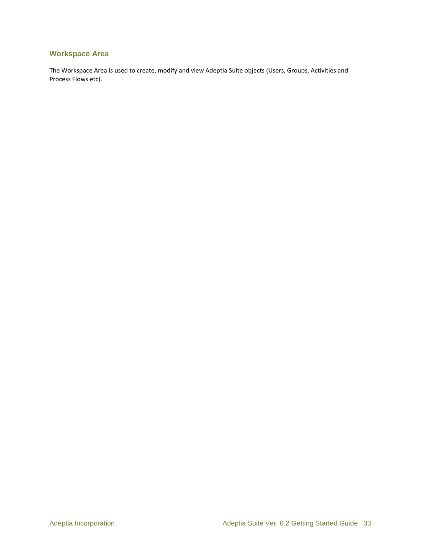#### <span id="page-32-0"></span>**Workspace Area**

The Workspace Area is used to create, modify and view Adeptia Suite objects (Users, Groups, Activities and Process Flows etc).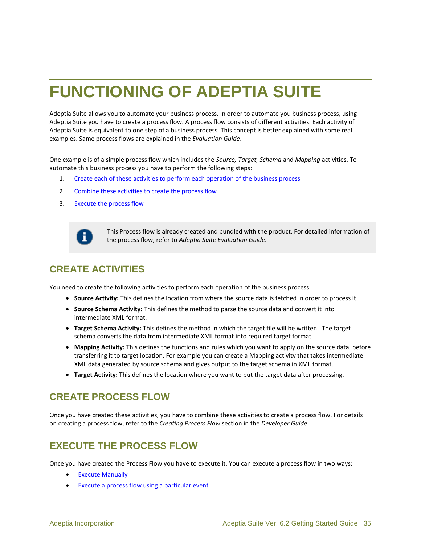## <span id="page-34-0"></span>**FUNCTIONING OF ADEPTIA SUITE**

Adeptia Suite allows you to automate your business process. In order to automate you business process, using Adeptia Suite you have to create a process flow. A process flow consists of different activities. Each activity of Adeptia Suite is equivalent to one step of a business process. This concept is better explained with some real examples. Same process flows are explained in the *Evaluation Guide*.

One example is of a simple process flow which includes the *Source, Target, Schema* and *Mapping* activities. To automate this business process you have to perform the following steps:

- 1. [Create each of these activities to perform each operation of the business process](#page-34-1)
- 2. [Combine these activities to create the process flow](#page-34-2)
- 3. [Execute the process flow](#page-34-3)



This Process flow is already created and bundled with the product. For detailed information of the process flow, refer to *Adeptia Suite Evaluation Guide.*

## <span id="page-34-1"></span>**CREATE ACTIVITIES**

You need to create the following activities to perform each operation of the business process:

- **Source Activity:** This defines the location from where the source data is fetched in order to process it.
- **Source Schema Activity:** This defines the method to parse the source data and convert it into intermediate XML format.
- **Target Schema Activity:** This defines the method in which the target file will be written. The target schema converts the data from intermediate XML format into required target format.
- **Mapping Activity:** This defines the functions and rules which you want to apply on the source data, before transferring it to target location. For example you can create a Mapping activity that takes intermediate XML data generated by source schema and gives output to the target schema in XML format.
- **Target Activity:** This defines the location where you want to put the target data after processing.

## <span id="page-34-2"></span>**CREATE PROCESS FLOW**

Once you have created these activities, you have to combine these activities to create a process flow. For details on creating a process flow, refer to the *Creating Process Flow* section in the *Developer Guide*.

## <span id="page-34-3"></span>**EXECUTE THE PROCESS FLOW**

Once you have created the Process Flow you have to execute it. You can execute a process flow in two ways:

- [Execute Manually](#page-35-0)
- [Execute a process flow using a particular event](#page-35-1)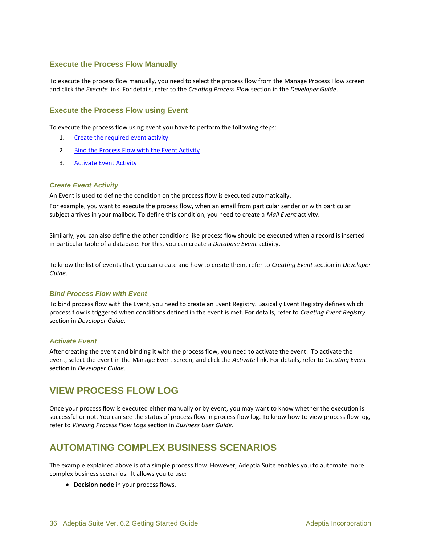#### <span id="page-35-0"></span>**Execute the Process Flow Manually**

To execute the process flow manually, you need to select the process flow from the Manage Process Flow screen and click the *Execute* link. For details, refer to the *Creating Process Flow* section in the *Developer Guide*.

#### <span id="page-35-1"></span>**Execute the Process Flow using Event**

To execute the process flow using event you have to perform the following steps:

- 1. [Create the required event activity](#page-35-4)
- 2. [Bind the Process Flow with the Event Activity](#page-35-5)
- 3. [Activate Event Activity](#page-35-6)

#### <span id="page-35-4"></span>*Create Event Activity*

An Event is used to define the condition on the process flow is executed automatically.

For example, you want to execute the process flow, when an email from particular sender or with particular subject arrives in your mailbox. To define this condition, you need to create a *Mail Event* activity.

Similarly, you can also define the other conditions like process flow should be executed when a record is inserted in particular table of a database. For this, you can create a *Database Event* activity.

To know the list of events that you can create and how to create them, refer to *Creating Event* section in *Developer Guide*.

#### <span id="page-35-5"></span>*Bind Process Flow with Event*

To bind process flow with the Event, you need to create an Event Registry. Basically Event Registry defines which process flow is triggered when conditions defined in the event is met. For details, refer to *Creating Event Registry*  section in *Developer Guide*.

#### <span id="page-35-6"></span>*Activate Event*

After creating the event and binding it with the process flow, you need to activate the event. To activate the event, select the event in the Manage Event screen, and click the *Activate* link. For details, refer to *Creating Event*  section in *Developer Guide*.

## <span id="page-35-2"></span>**VIEW PROCESS FLOW LOG**

Once your process flow is executed either manually or by event, you may want to know whether the execution is successful or not. You can see the status of process flow in process flow log. To know how to view process flow log, refer to *Viewing Process Flow Logs* section in *Business User Guide*.

## <span id="page-35-3"></span>**AUTOMATING COMPLEX BUSINESS SCENARIOS**

The example explained above is of a simple process flow. However, Adeptia Suite enables you to automate more complex business scenarios. It allows you to use:

**Decision node** in your process flows.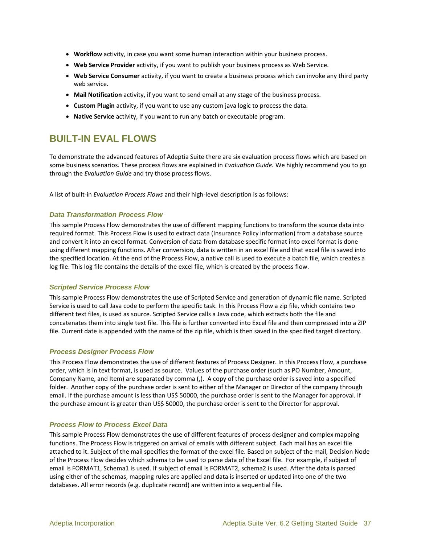- **Workflow** activity, in case you want some human interaction within your business process.
- **Web Service Provider** activity, if you want to publish your business process as Web Service.
- **Web Service Consumer** activity, if you want to create a business process which can invoke any third party web service.
- **Mail Notification** activity, if you want to send email at any stage of the business process.
- **Custom Plugin** activity, if you want to use any custom java logic to process the data.
- **Native Service** activity, if you want to run any batch or executable program.

## <span id="page-36-0"></span>**BUILT-IN EVAL FLOWS**

To demonstrate the advanced features of Adeptia Suite there are six evaluation process flows which are based on some business scenarios. These process flows are explained in *Evaluation Guide.* We highly recommend you to go through the *Evaluation Guide* and try those process flows.

A list of built-in *Evaluation Process Flows* and their high-level description is as follows:

#### *Data Transformation Process Flow*

This sample Process Flow demonstrates the use of different mapping functions to transform the source data into required format. This Process Flow is used to extract data (Insurance Policy information) from a database source and convert it into an excel format. Conversion of data from database specific format into excel format is done using different mapping functions. After conversion, data is written in an excel file and that excel file is saved into the specified location. At the end of the Process Flow, a native call is used to execute a batch file, which creates a log file. This log file contains the details of the excel file, which is created by the process flow.

#### *Scripted Service Process Flow*

This sample Process Flow demonstrates the use of Scripted Service and generation of dynamic file name. Scripted Service is used to call Java code to perform the specific task. In this Process Flow a zip file, which contains two different text files, is used as source. Scripted Service calls a Java code, which extracts both the file and concatenates them into single text file. This file is further converted into Excel file and then compressed into a ZIP file. Current date is appended with the name of the zip file, which is then saved in the specified target directory.

#### *Process Designer Process Flow*

This Process Flow demonstrates the use of different features of Process Designer. In this Process Flow, a purchase order, which is in text format, is used as source. Values of the purchase order (such as PO Number, Amount, Company Name, and Item) are separated by comma (,). A copy of the purchase order is saved into a specified folder. Another copy of the purchase order is sent to either of the Manager or Director of the company through email. If the purchase amount is less than US\$ 50000, the purchase order is sent to the Manager for approval. If the purchase amount is greater than US\$ 50000, the purchase order is sent to the Director for approval.

#### *Process Flow to Process Excel Data*

This sample Process Flow demonstrates the use of different features of process designer and complex mapping functions. The Process Flow is triggered on arrival of emails with different subject. Each mail has an excel file attached to it. Subject of the mail specifies the format of the excel file. Based on subject of the mail, Decision Node of the Process Flow decides which schema to be used to parse data of the Excel file. For example, if subject of email is FORMAT1, Schema1 is used. If subject of email is FORMAT2, schema2 is used. After the data is parsed using either of the schemas, mapping rules are applied and data is inserted or updated into one of the two databases. All error records (e.g. duplicate record) are written into a sequential file.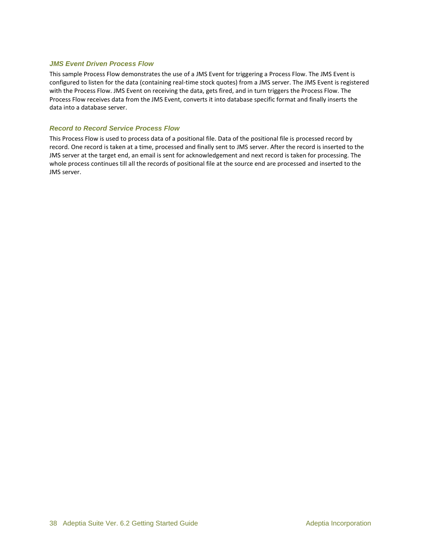#### *JMS Event Driven Process Flow*

This sample Process Flow demonstrates the use of a JMS Event for triggering a Process Flow. The JMS Event is configured to listen for the data (containing real-time stock quotes) from a JMS server. The JMS Event is registered with the Process Flow. JMS Event on receiving the data, gets fired, and in turn triggers the Process Flow. The Process Flow receives data from the JMS Event, converts it into database specific format and finally inserts the data into a database server.

#### *Record to Record Service Process Flow*

This Process Flow is used to process data of a positional file. Data of the positional file is processed record by record. One record is taken at a time, processed and finally sent to JMS server. After the record is inserted to the JMS server at the target end, an email is sent for acknowledgement and next record is taken for processing. The whole process continues till all the records of positional file at the source end are processed and inserted to the JMS server.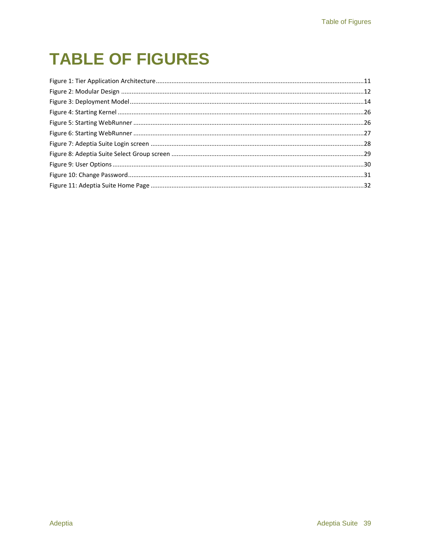## **TABLE OF FIGURES**